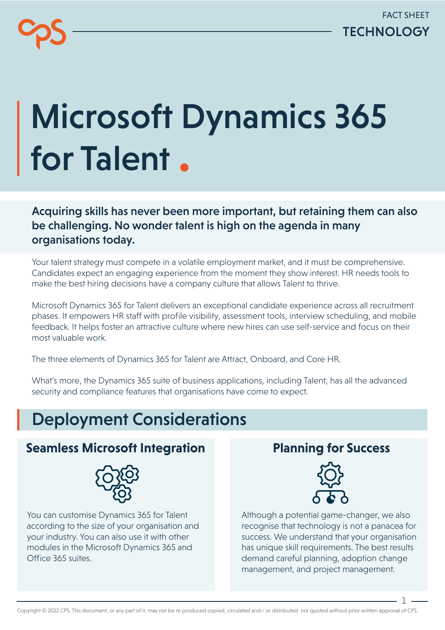# Microsoft Dynamics 365 for Talent

Acquiring skills has never been more important, but retaining them can also be challenging. No wonder talent is high on the agenda in many organisations today.

Your talent strategy must compete in a volatile employment market, and it must be comprehensive. Candidates expect an engaging experience from the moment they show interest. HR needs tools to make the best hiring decisions have a company culture that allows Talent to thrive.

Microsoft Dynamics 365 for Talent delivers an exceptional candidate experience across all recruitment phases. It empowers HR staff with profile visibility, assessment tools, interview scheduling, and mobile feedback. It helps foster an attractive culture where new hires can use self-service and focus on their most valuable work.

The three elements of Dynamics 365 for Talent are Attract, Onboard, and Core HR.

What's more, the Dynamics 365 suite of business applications, including Talent, has all the advanced security and compliance features that organisations have come to expect.

# Deployment Considerations

## **Seamless Microsoft Integration Planning for Success**



You can customise Dynamics 365 for Talent according to the size of your organisation and your industry. You can also use it with other modules in the Microsoft Dynamics 365 and Office 365 suites.



Although a potential game-changer, we also recognise that technology is not a panacea for success. We understand that your organisation has unique skill requirements. The best results demand careful planning, adoption change management, and project management.

1